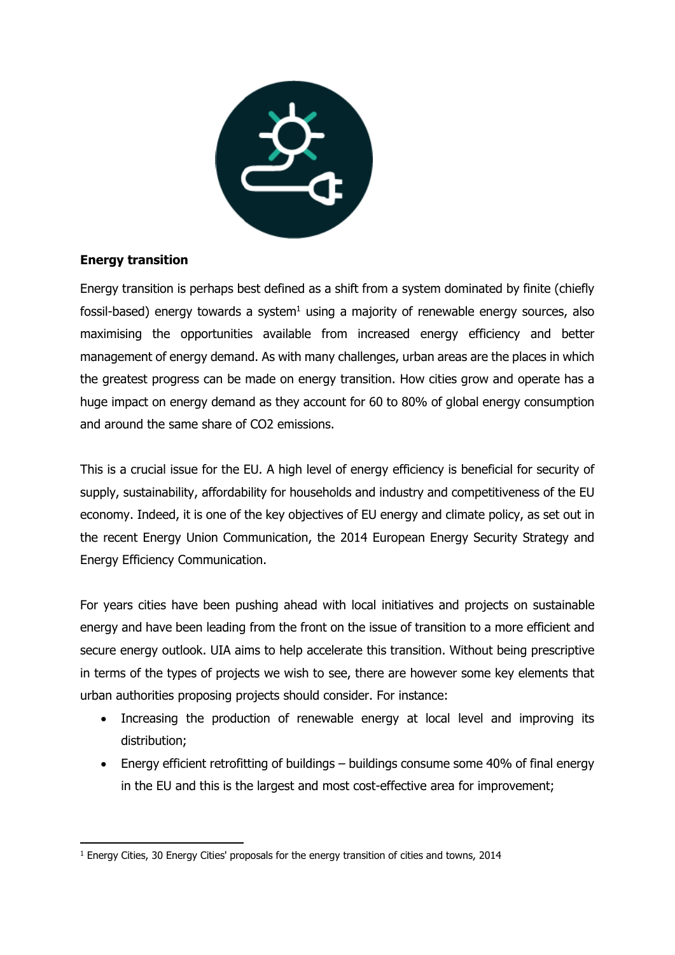

## **Energy transition**

Energy transition is perhaps best defined as a shift from a system dominated by finite (chiefly fossil-based) energy towards a system<sup>1</sup> using a majority of renewable energy sources, also maximising the opportunities available from increased energy efficiency and better management of energy demand. As with many challenges, urban areas are the places in which the greatest progress can be made on energy transition. How cities grow and operate has a huge impact on energy demand as they account for 60 to 80% of global energy consumption and around the same share of CO2 emissions.

This is a crucial issue for the EU. A high level of energy efficiency is beneficial for security of supply, sustainability, affordability for households and industry and competitiveness of the EU economy. Indeed, it is one of the key objectives of EU energy and climate policy, as set out in the recent Energy Union Communication, the 2014 European Energy Security Strategy and Energy Efficiency Communication.

For years cities have been pushing ahead with local initiatives and projects on sustainable energy and have been leading from the front on the issue of transition to a more efficient and secure energy outlook. UIA aims to help accelerate this transition. Without being prescriptive in terms of the types of projects we wish to see, there are however some key elements that urban authorities proposing projects should consider. For instance:

- Increasing the production of renewable energy at local level and improving its distribution;
- Energy efficient retrofitting of buildings buildings consume some 40% of final energy in the EU and this is the largest and most cost-effective area for improvement;

 $\overline{a}$ <sup>1</sup> Energy Cities, 30 Energy Cities' proposals for the energy transition of cities and towns, 2014